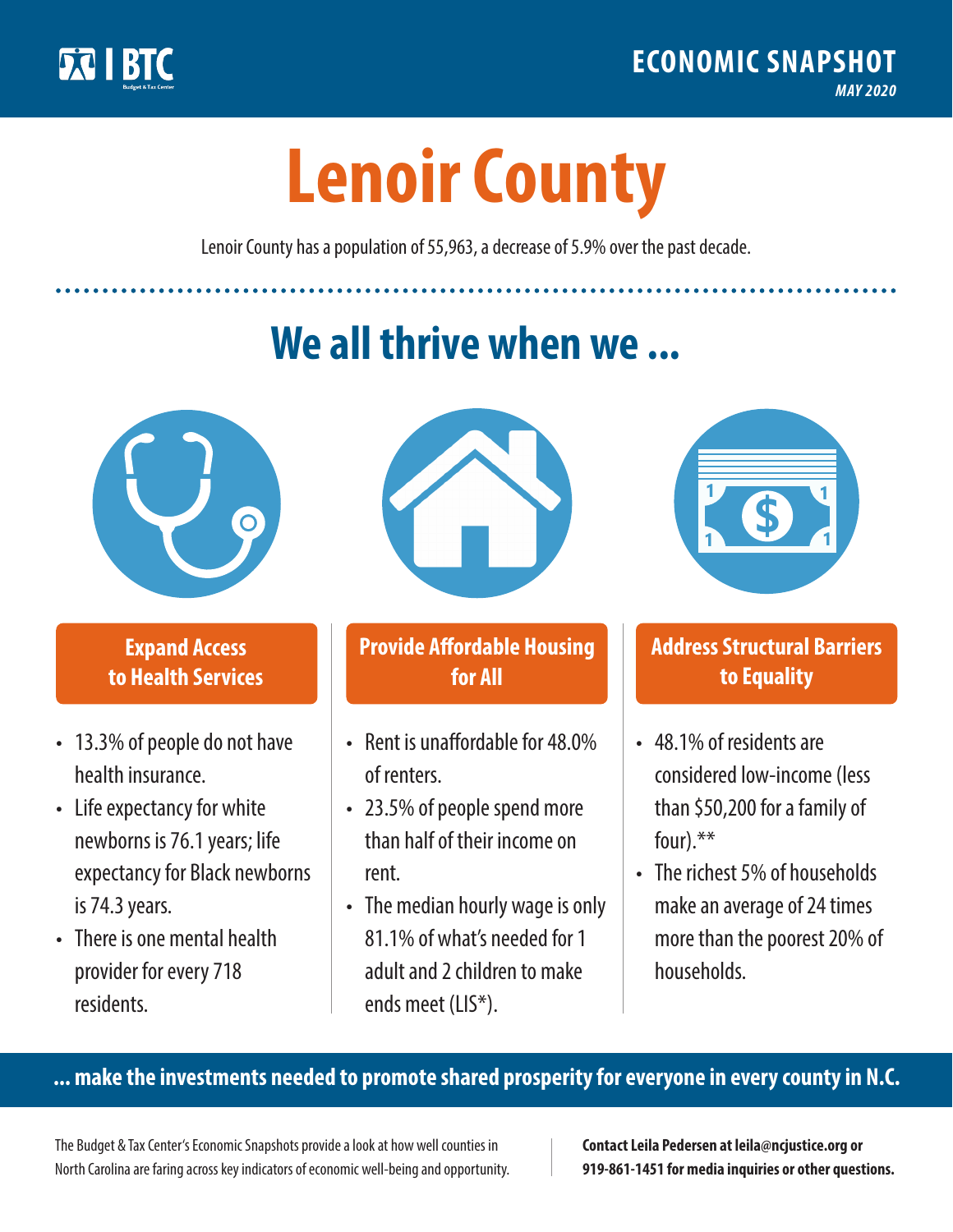

**1**

# **Lenoir County**

Lenoir County has a population of 55,963, a decrease of 5.9% over the past decade.

# **We all thrive when we ...**



**\$ <sup>1</sup>**

**\$ <sup>1</sup>**

#### **Expand Access to Health Services**

- 13.3% of people do not have health insurance.
- Life expectancy for white newborns is 76.1years; life expectancy for Black newborns is 74.3 years.
- There is one mental health provider for every 718 residents.



## **Provide Affordable Housing for All**

- Rent is unaffordable for 48.0% of renters.
- 23.5% of people spend more than half of their income on rent.
- The median hourly wage is only 81.1% of what's needed for 1 adult and 2 children to make ends meet (LIS\*).



## **Address Structural Barriers to Equality**

- 48.1% of residents are considered low-income (less than \$50,200 for a family of four).\*\*
- The richest 5% of households make an average of 24 times more than the poorest 20% of households.

#### **... make the investments needed to promote shared prosperity for everyone in every county in N.C.**

The Budget & Tax Center's Economic Snapshots provide a look at how well counties in North Carolina are faring across key indicators of economic well-being and opportunity.